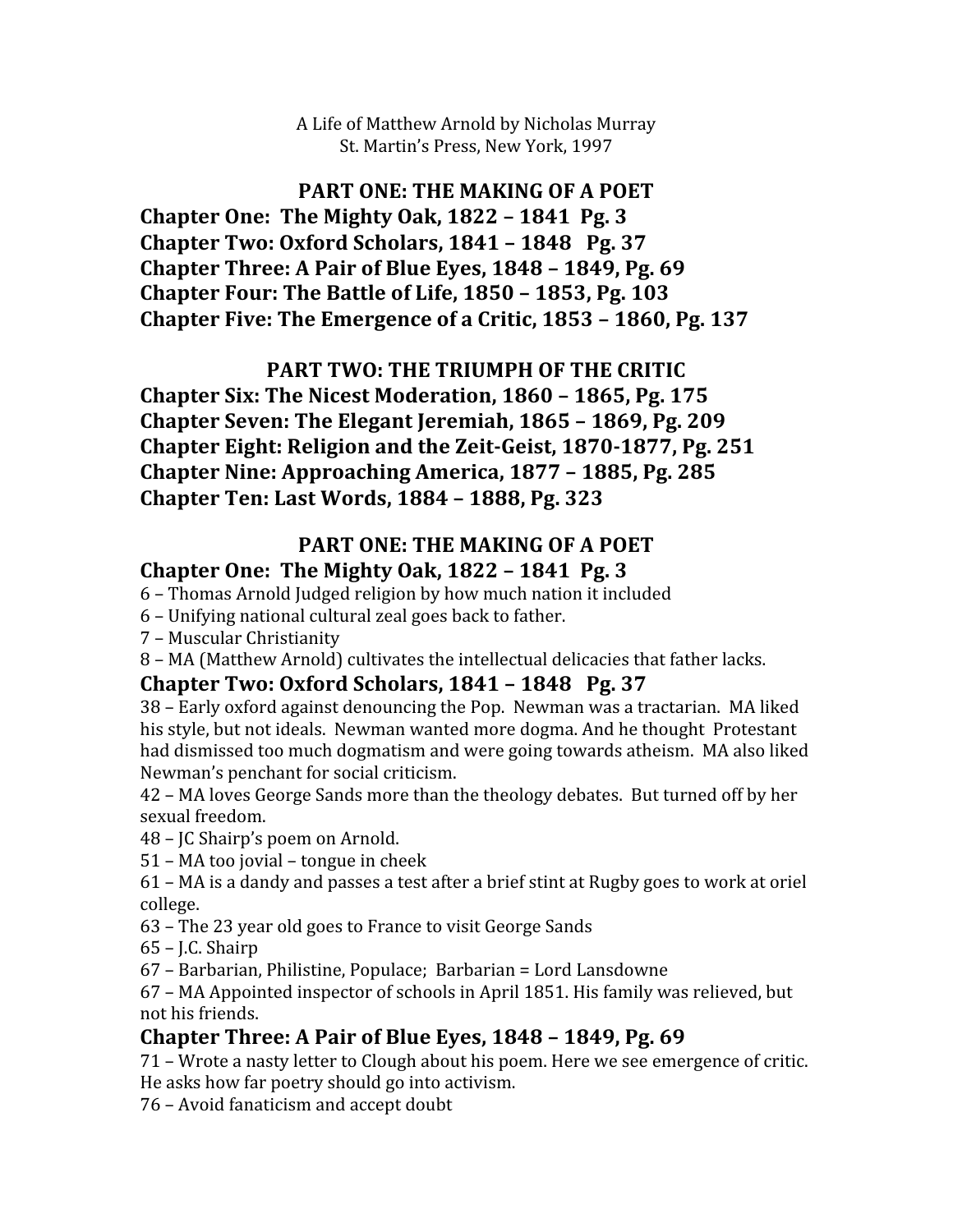A
Life
of
Matthew
Arnold
by
Nicholas
Murray St.
Martin's
Press,
New
York,
1997

### PART ONE: THE MAKING OF A POET **Chapter
One:

The
Mighty
Oak,
1822
–
1841

Pg.
3**

**Chapter
Two:
Oxford
Scholars,
1841
–
1848

Pg.
37 Chapter
Three:
A
Pair
of
Blue
Eyes,
1848
–
1849,
Pg.
69 Chapter
Four:
The
Battle
of
Life,
1850
–
1853,
Pg.
103 Chapter
Five:
The
Emergence
of
a
Critic,
1853
–
1860,
Pg.
137**

## PART TWO: THE TRIUMPH OF THE CRITIC

**Chapter
Six:
The
Nicest
Moderation,
1860
–
1865,
Pg.
175 Chapter
Seven:
The
Elegant
Jeremiah,
1865
–
1869,
Pg.
209** Chapter Eight: Religion and the Zeit-Geist, 1870-1877, Pg. 251 **Chapter
Nine:
Approaching
America,
1877
–
1885,
Pg.
285 Chapter
Ten:
Last
Words,
1884
–
1888,
Pg.
323**

#### PART ONE: THE MAKING OF A POET **Chapter
One:

The
Mighty
Oak,
1822
–
1841

Pg.
3**

- 6
–
Thomas
Arnold
Judged
religion
by
how
much
nation
it
included
- 6
–
Unifying
national
cultural
zeal
goes
back
to
father.
- 7
–
Muscular
Christianity

8 - MA (Matthew Arnold) cultivates the intellectual delicacies that father lacks.

### **Chapter
Two:
Oxford
Scholars,
1841
–
1848

Pg.
37**

38
–
Early
oxford
against
denouncing
the
Pop.

Newman
was
a
tractarian.

MA
liked his
style,
but
not
ideals.

Newman
wanted
more
dogma.
And
he
thought

Protestant had dismissed too much dogmatism and were going towards atheism. MA also liked Newman's
penchant
for
social
criticism.

42
–
MA
loves
George
Sands
more
than
the
theology
debates.

But
turned
off
by
her sexual
freedom.

48
–
JC
Shairp's
poem
on
Arnold.

51
–
MA
too
jovial
–
tongue
in
cheek

61
–
MA
is
a
dandy
and
passes
a
test
after
a
brief
stint
at
Rugby
goes
to
work
at
oriel college.

63
–
The
23
year
old
goes
to
France
to
visit
George
Sands

65
–
J.C.
Shairp

67
–
Barbarian,
Philistine,
Populace;

Barbarian
=
Lord
Lansdowne

67
–
MA
Appointed
inspector
of
schools
in
April
1851.
His
family
was
relieved,
but not
his
friends.

# **Chapter
Three:
A
Pair
of
Blue
Eyes,
1848
–
1849,
Pg.
69**

71
–
Wrote
a
nasty
letter
to
Clough
about
his
poem.
Here
we
see
emergence
of
critic. He
asks
how
far
poetry
should
go
into
activism.

76
–
Avoid
fanaticism
and
accept
doubt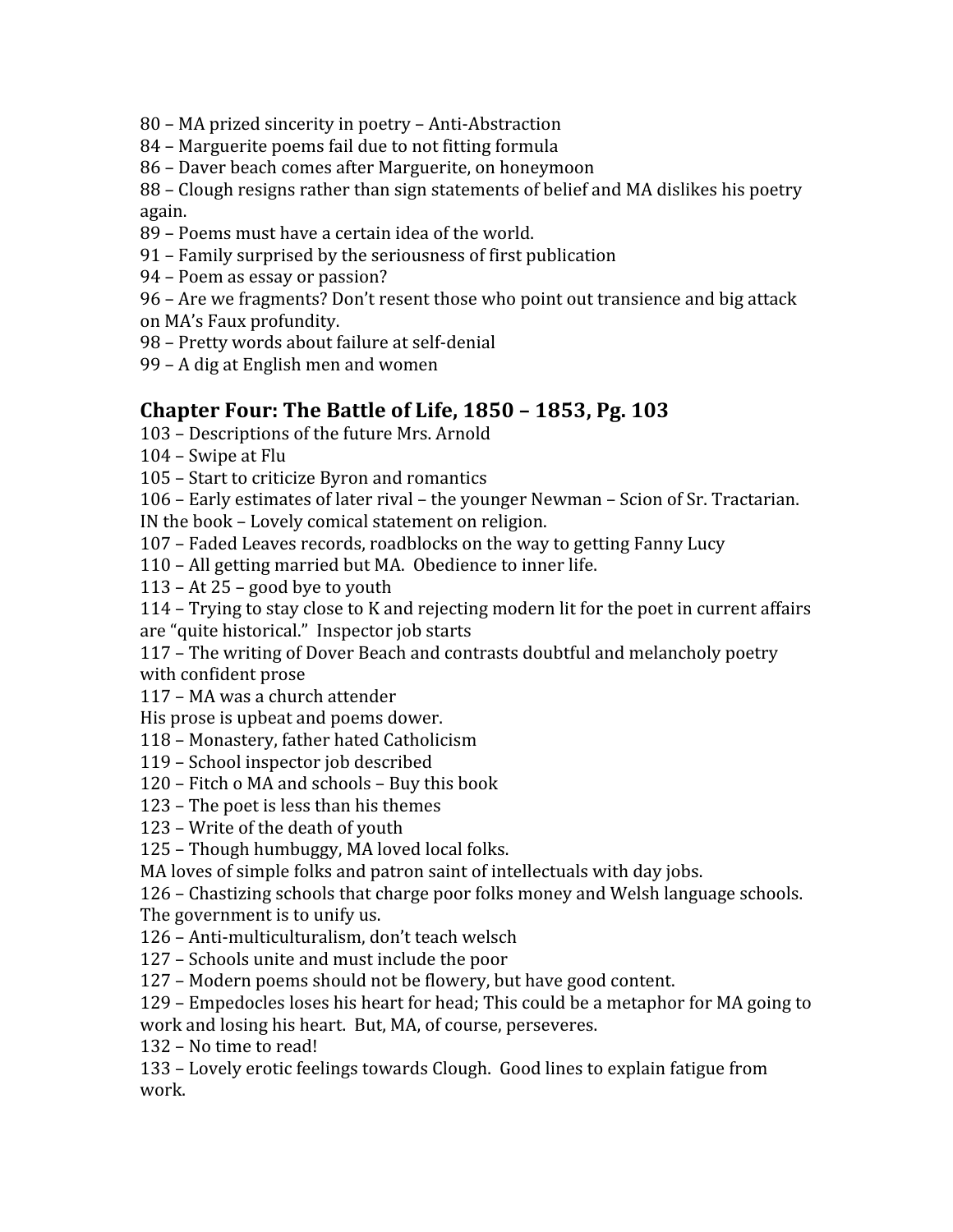- 80
–
MA
prized
sincerity
in
poetry
–
Anti‐Abstraction
- 84
–
Marguerite
poems
fail
due
to
not
fitting
formula
- 86
–
Daver
beach
comes
after
Marguerite,
on
honeymoon

88
–
Clough
resigns
rather
than
sign
statements
of
belief
and
MA
dislikes
his
poetry again.

- 89
–
Poems
must
have
a
certain
idea
of
the
world.
- 91
–
Family
surprised
by
the
seriousness
of
first
publication
- 94
–
Poem
as
essay
or
passion?
- 96 Are we fragments? Don't resent those who point out transience and big attack
- on
MA's
Faux
profundity.
- 98
–
Pretty
words
about
failure
at
self‐denial
- 99
–
A
dig
at
English
men
and
women

### **Chapter
Four:
The
Battle
of
Life,
1850
–
1853,
Pg.
103**

- 103
–
Descriptions
of
the
future
Mrs.
Arnold
- 104
–
Swipe
at
Flu
- 105
–
Start
to
criticize
Byron
and
romantics

106
–
Early
estimates
of
later
rival
–
the
younger
Newman
–
Scion
of
Sr.
Tractarian.

IN
the
book
–
Lovely
comical
statement
on
religion.

- 107
–
Faded
Leaves
records,
roadblocks
on
the
way
to
getting
Fanny
Lucy
- 110
–
All
getting
married
but
MA.

Obedience
to
inner
life.
- 113
–
At
25
–
good
bye
to
youth
- 114
–
Trying
to
stay
close
to
K
and
rejecting
modern
lit
for
the
poet
in
current
affairs are
"quite
historical."

Inspector
job
starts
- 117
–
The
writing
of
Dover
Beach
and
contrasts
doubtful
and
melancholy
poetry with
confident
prose
- 117
–
MA
was
a
church
attender

His
prose
is
upbeat
and
poems
dower.

- 118
–
Monastery,
father
hated
Catholicism
- 119
–
School
inspector
job
described
- 120
–
Fitch
o
MA
and
schools
–
Buy
this
book
- 123
–
The
poet
is
less
than
his
themes
- 123
–
Write
of
the
death
of
youth
- 125
–
Though
humbuggy,
MA
loved
local
folks.
- MA loves of simple folks and patron saint of intellectuals with day jobs.

126
–
Chastizing
schools
that
charge
poor
folks
money
and
Welsh
language
schools.

The
government
is
to
unify
us.

126
–
Anti‐multiculturalism,
don't
teach
welsch

- 127
–
Schools
unite
and
must
include
the
poor
- 127
–
Modern
poems
should
not
be
flowery,
but
have
good
content.
- 129
–
Empedocles
loses
his
heart
for
head;
This
could
be
a
metaphor
for
MA
going
to
- work
and
losing
his
heart.

But,
MA,
of
course,
perseveres.
- 132
–
No
time
to
read!

133
–
Lovely
erotic
feelings
towards
Clough.

Good
lines
to
explain
fatigue
from work.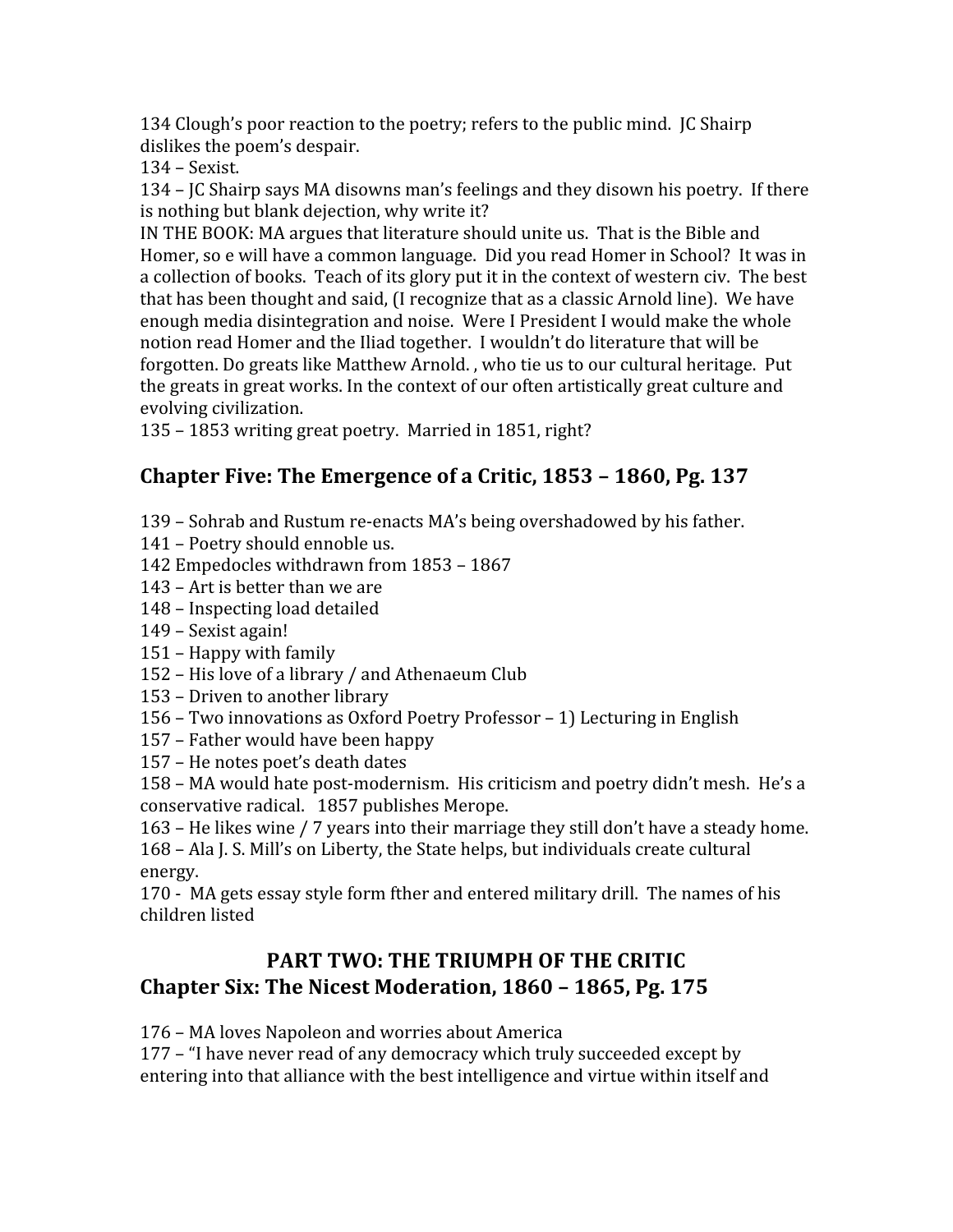134 Clough's poor reaction to the poetry; refers to the public mind. IC Shairp dislikes
the
poem's
despair.

134
–
Sexist.

134
–
JC
Shairp
says
MA
disowns
man's
feelings
and
they
disown
his
poetry.

If
there is
nothing
but
blank
dejection,
why
write
it?

IN THE BOOK: MA argues that literature should unite us. That is the Bible and Homer,
so
e
will
have
a
common
language.

Did
you
read
Homer
in
School?

It
was
in a collection of books. Teach of its glory put it in the context of western civ. The best that has been thought and said, (I recognize that as a classic Arnold line). We have enough media disintegration and noise. Were I President I would make the whole notion read Homer and the Iliad together. I wouldn't do literature that will be forgotten. Do greats like Matthew Arnold., who tie us to our cultural heritage. Put the greats in great works. In the context of our often artistically great culture and evolving
civilization.

135
–
1853
writing
great
poetry.

Married
in
1851,
right?

# **Chapter
Five:
The
Emergence
of
a
Critic,
1853
–
1860,
Pg.
137**

- 139
–
Sohrab
and
Rustum
re‐enacts
MA's
being
overshadowed
by
his
father.
- 141
–
Poetry
should
ennoble
us.
- 142
Empedocles
withdrawn
from
1853
–
1867
- 143
–
Art
is
better
than
we
are
- 148
–
Inspecting
load
detailed
- 149
–
Sexist
again!
- 151
–
Happy
with
family
- 152
–
His
love
of
a
library
/
and
Athenaeum
Club
- 153
–
Driven
to
another
library
- 156
–
Two
innovations
as
Oxford
Poetry
Professor
–
1)
Lecturing
in
English
- 157
–
Father
would
have
been
happy
- 157
–
He
notes
poet's
death
dates

158 – MA would hate post-modernism. His criticism and poetry didn't mesh. He's a conservative
radical.

1857
publishes
Merope.

163
–
He
likes
wine
/
7
years
into
their
marriage
they
still
don't
have
a
steady
home. 168
–
Ala
J.
S.
Mill's
on
Liberty,
the
State
helps,
but
individuals
create
cultural energy.

170
‐

MA
gets
essay
style
form
fther
and
entered
military
drill.

The
names
of
his children
listed

## **PART TWO: THE TRIUMPH OF THE CRITIC Chapter
Six:
The
Nicest
Moderation,
1860
–
1865,
Pg.
175**

176
–
MA
loves
Napoleon
and
worries
about
America

177
–
"I
have
never
read
of
any
democracy
which
truly
succeeded
except
by entering into that alliance with the best intelligence and virtue within itself and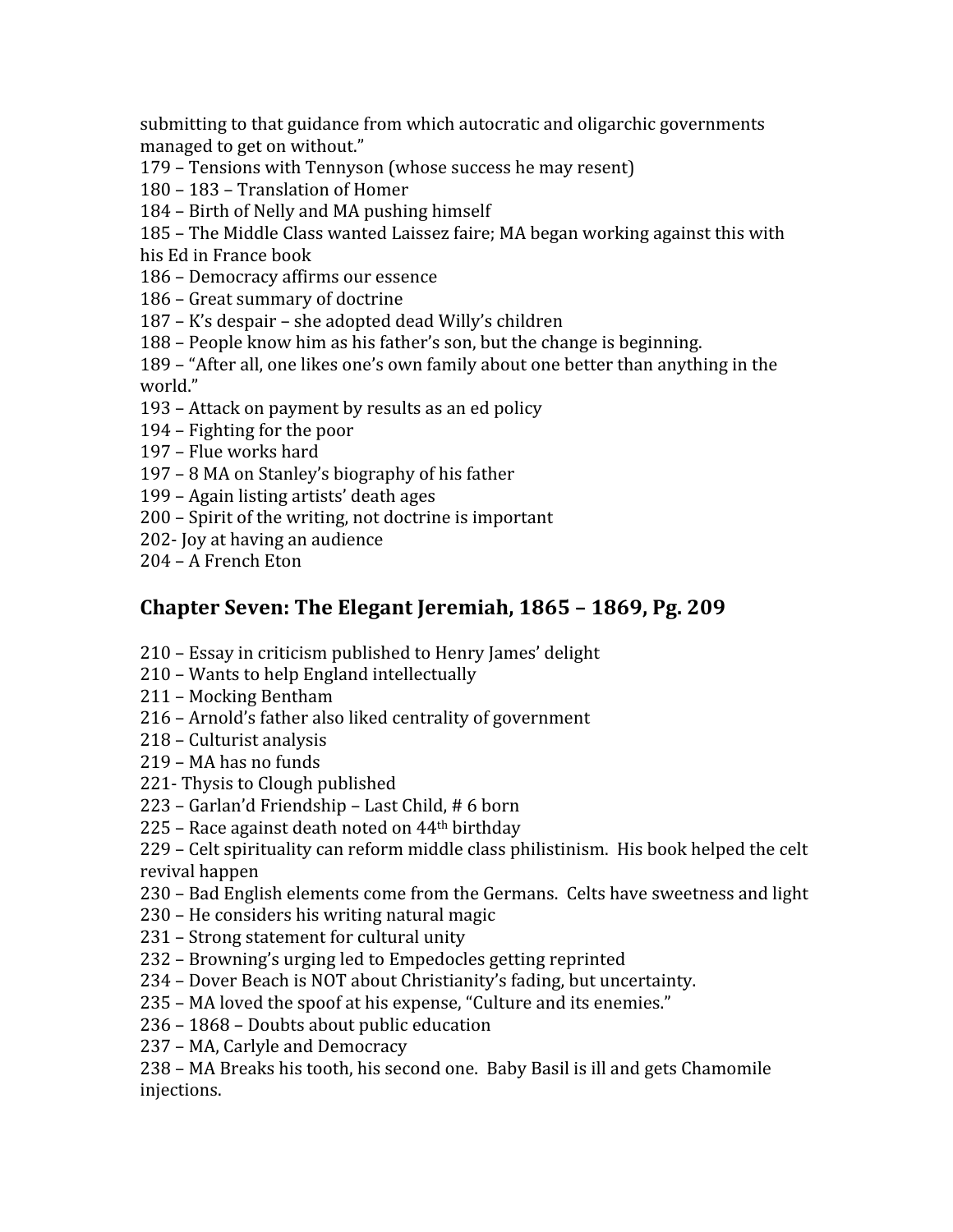submitting to that guidance from which autocratic and oligarchic governments managed
to
get
on
without."

- 179
–
Tensions
with
Tennyson
(whose
success
he
may
resent)
- 180
–
183
–
Translation
of
Homer
- 184
–
Birth
of
Nelly
and
MA
pushing
himself

185
–
The
Middle
Class
wanted
Laissez
faire;
MA
began
working
against
this
with his
Ed
in
France
book

- 186
–
Democracy
affirms
our
essence
- 186
–
Great
summary
of
doctrine
- 187
–
K's
despair
–
she
adopted
dead
Willy's
children
- 188
–
People
know
him
as
his
father's
son,
but
the
change
is
beginning.

189
–
"After
all,
one
likes
one's
own
family
about
one
better
than
anything
in
the world."

- 193
–
Attack
on
payment
by
results
as
an
ed
policy
- 194
–
Fighting
for
the
poor
- 197
–
Flue
works
hard
- 197
–
8
MA
on
Stanley's
biography
of
his
father
- 199
–
Again
listing
artists'
death
ages
- 200
–
Spirit
of
the
writing,
not
doctrine
is
important
- 202‐
Joy
at
having
an
audience
- 204
–
A
French
Eton

### **Chapter
Seven:
The
Elegant
Jeremiah,
1865
–
1869,
Pg.
209**

- 210
–
Essay
in
criticism
published
to
Henry
James'
delight
- 210
–
Wants
to
help
England
intellectually
- 211
–
Mocking
Bentham
- 216
–
Arnold's
father
also
liked
centrality
of
government
- 218
–
Culturist
analysis
- 219
–
MA
has
no
funds
- 221‐
Thysis
to
Clough
published
- 223
–
Garlan'd
Friendship
–
Last
Child,
#
6
born
- 225
–
Race
against
death
noted
on
44th
birthday
- 229
–
Celt
spirituality
can
reform
middle
class
philistinism.

His
book
helped
the
celt revival
happen
- 230
–
Bad
English
elements
come
from
the
Germans.

Celts
have
sweetness
and
light
- 230
–
He
considers
his
writing
natural
magic
- 231
–
Strong
statement
for
cultural
unity
- 232
–
Browning's
urging
led
to
Empedocles
getting
reprinted
- 234
–
Dover
Beach
is
NOT
about
Christianity's
fading,
but
uncertainty.
- 235
–
MA
loved
the
spoof
at
his
expense,
"Culture
and
its
enemies."
- 236
–
1868
–
Doubts
about
public
education
- 237
–
MA,
Carlyle
and
Democracy

238
–
MA
Breaks
his
tooth,
his
second
one.

Baby
Basil
is
ill
and
gets
Chamomile injections.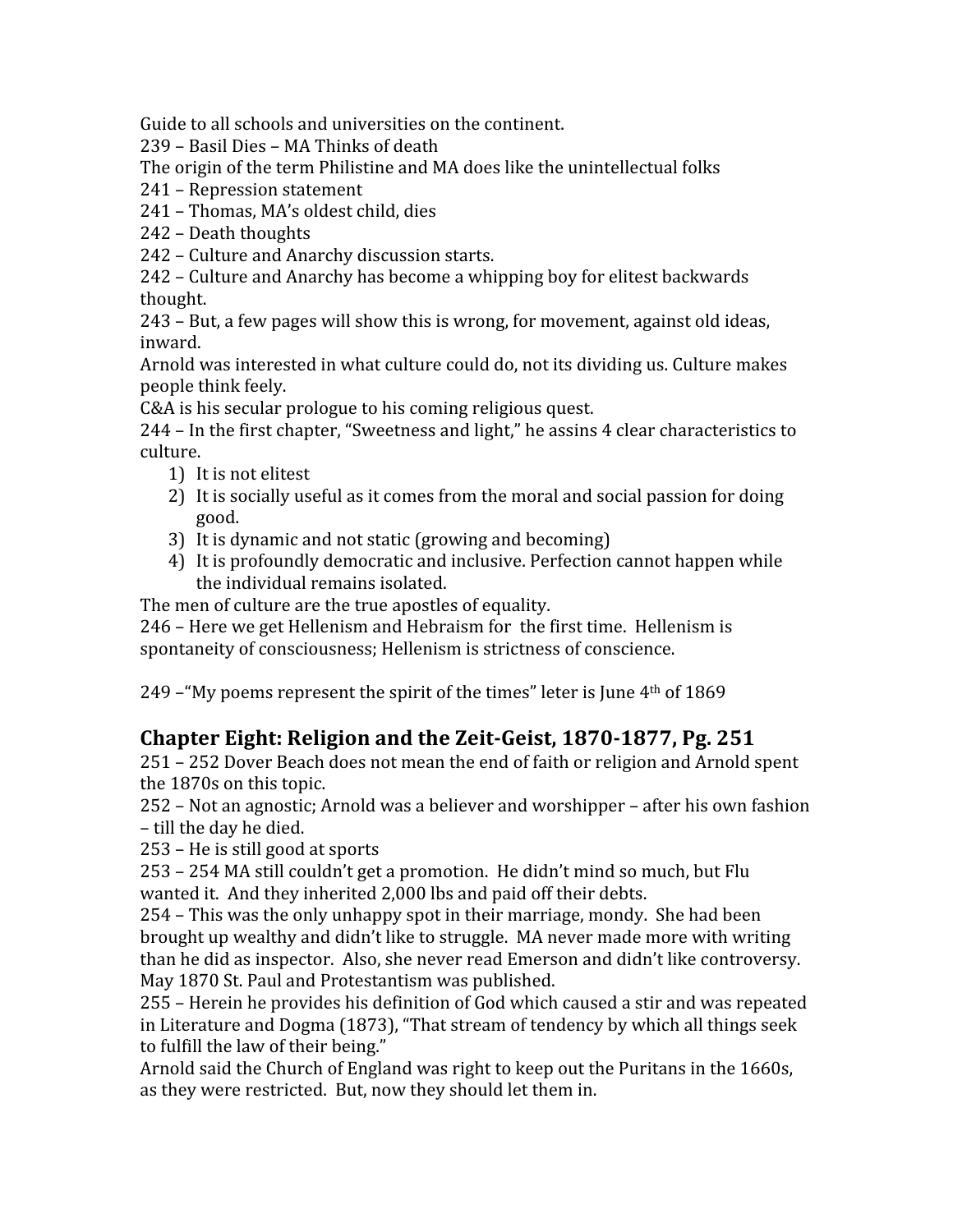Guide to all schools and universities on the continent.

239
–
Basil
Dies
–
MA
Thinks
of
death

The origin of the term Philistine and MA does like the unintellectual folks

241
–
Repression
statement

241
–
Thomas,
MA's
oldest
child,
dies

242
–
Death
thoughts

242
–
Culture
and
Anarchy
discussion
starts.

242
–
Culture
and
Anarchy
has
become
a
whipping
boy
for
elitest
backwards thought.

243
–
But,
a
few
pages
will
show
this
is
wrong,
for
movement,
against
old
ideas, inward.

Arnold
was
interested
in
what
culture
could
do,
not
its
dividing
us.
Culture
makes people
think
feely.

C&A is his secular prologue to his coming religious quest.

244
–
In
the
first
chapter,
"Sweetness
and
light,"
he
assins
4
clear
characteristics
to culture.

- 1) It
is
not
elitest
- 2) It is socially useful as it comes from the moral and social passion for doing good.
- 3) It
is
dynamic
and
not
static
(growing
and
becoming)
- 4) It
is
profoundly
democratic
and
inclusive.
Perfection
cannot
happen
while the
individual
remains
isolated.

The
men
of
culture
are
the
true
apostles
of
equality.

246
–
Here
we
get
Hellenism
and
Hebraism
for

the
first
time.

Hellenism
is spontaneity of consciousness; Hellenism is strictness of conscience.

249 – "My poems represent the spirit of the times" leter is June 4<sup>th</sup> of 1869

# Chapter Eight: Religion and the Zeit-Geist, 1870-1877, Pg. 251

251
–
252
Dover
Beach
does
not
mean
the
end
of
faith
or
religion
and
Arnold
spent the
1870s
on
this
topic.

252
–
Not
an
agnostic;
Arnold
was
a
believer
and
worshipper
–
after
his
own
fashion –
till
the
day
he
died.

253
–
He
is
still
good
at
sports

253
–
254
MA
still
couldn't
get
a
promotion.

He
didn't
mind
so
much,
but
Flu wanted it. And they inherited 2,000 lbs and paid off their debts.

254
–
This
was
the
only
unhappy
spot
in
their
marriage,
mondy.

She
had
been brought
up
wealthy
and
didn't
like
to
struggle.

MA
never
made
more
with
writing than
he
did
as
inspector.

Also,
she
never
read
Emerson
and
didn't
like
controversy. May
1870
St.
Paul
and
Protestantism
was
published.

255
–
Herein
he
provides
his
definition
of
God
which
caused
a
stir
and
was
repeated in
Literature
and
Dogma
(1873),
"That
stream
of
tendency
by
which
all
things
seek to fulfill the law of their being."

Arnold
said
the
Church
of
England
was
right
to
keep
out
the
Puritans
in
the
1660s, as
they
were
restricted.

But,
now
they
should
let
them
in.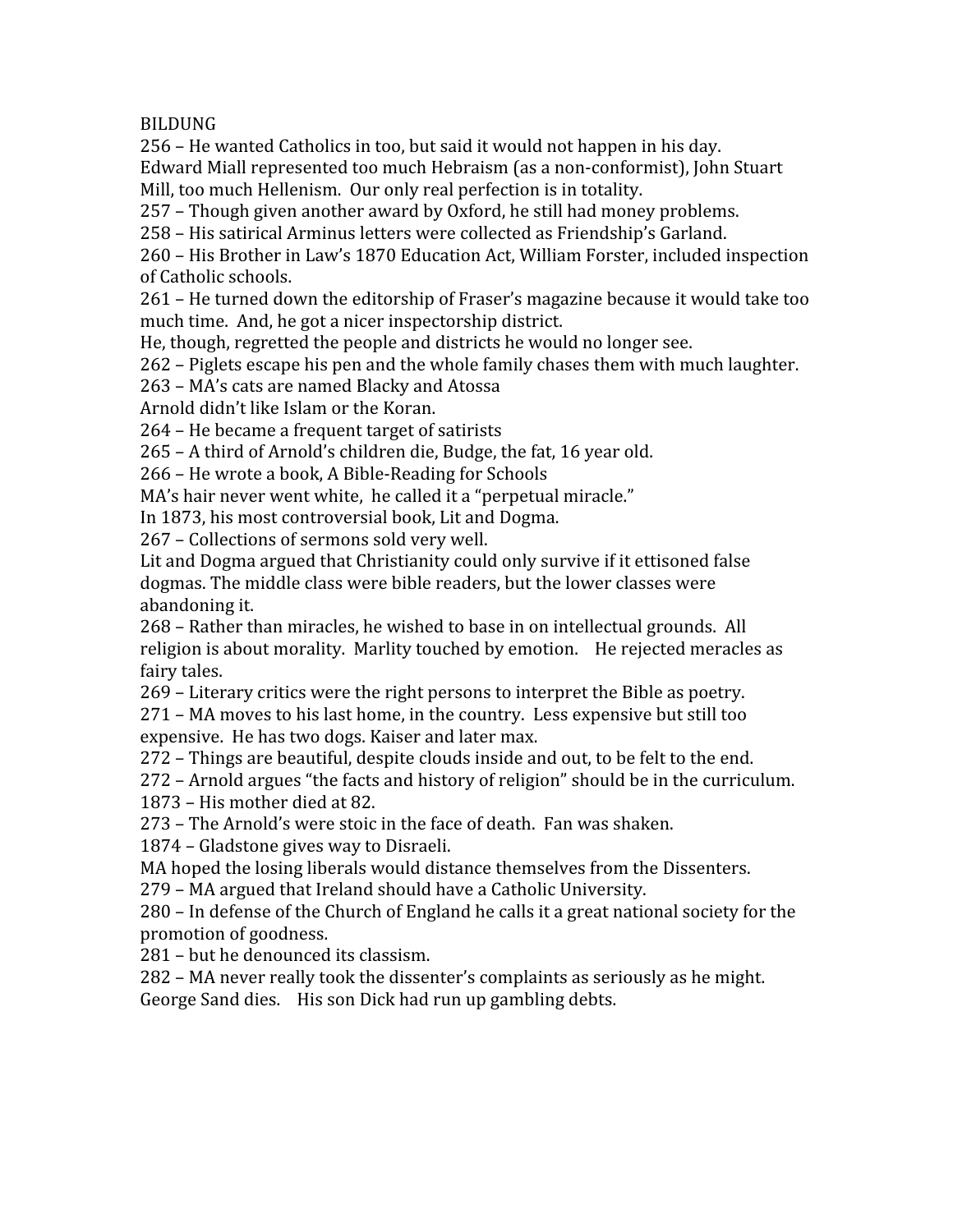BILDUNG

256
–
He
wanted
Catholics
in
too,
but
said
it
would
not
happen
in
his
day.

Edward
Miall
represented
too
much
Hebraism
(as
a
non‐conformist),
John
Stuart Mill, too much Hellenism. Our only real perfection is in totality.

257
–
Though
given
another
award
by
Oxford,
he
still
had
money
problems.

258
–
His
satirical
Arminus
letters
were
collected
as
Friendship's
Garland.

260
–
His
Brother
in
Law's
1870
Education
Act,
William
Forster,
included
inspection of
Catholic
schools.

261
–
He
turned
down
the
editorship
of
Fraser's
magazine
because
it
would
take
too much
time.

And,
he
got
a
nicer
inspectorship
district.

He,
though,
regretted
the
people
and
districts
he
would
no
longer
see.

262
–
Piglets
escape
his
pen
and
the
whole
family
chases
them
with
much
laughter.

263
–
MA's
cats
are
named
Blacky
and
Atossa

Arnold
didn't
like
Islam
or
the
Koran.

264
–
He
became
a
frequent
target
of
satirists

265
–
A
third
of
Arnold's
children
die,
Budge,
the
fat,
16
year
old.

266
–
He
wrote
a
book,
A
Bible‐Reading
for
Schools

MA's hair never went white, he called it a "perpetual miracle."

In
1873,
his
most
controversial
book,
Lit
and
Dogma.

267
–
Collections
of
sermons
sold
very
well.

Lit and Dogma argued that Christianity could only survive if it ettisoned false dogmas.
The
middle
class
were
bible
readers,
but
the
lower
classes
were abandoning
it.

268
–
Rather
than
miracles,
he
wished
to
base
in
on
intellectual
grounds.

All religion is about morality. Marlity touched by emotion. He rejected meracles as fairy
tales.

269
–
Literary
critics
were
the
right
persons
to
interpret
the
Bible
as
poetry.

271
–
MA
moves
to
his
last
home,
in
the
country.

Less
expensive
but
still
too expensive.

He
has
two
dogs.
Kaiser
and
later
max.

272
–
Things
are
beautiful,
despite
clouds
inside
and
out,
to
be
felt
to
the
end.

272
–
Arnold
argues
"the
facts
and
history
of
religion"
should
be
in
the
curriculum. 1873
–
His
mother
died
at
82.

273
–
The
Arnold's
were
stoic
in
the
face
of
death.

Fan
was
shaken.

1874
–
Gladstone
gives
way
to
Disraeli.

MA
hoped
the
losing
liberals
would
distance
themselves
from
the
Dissenters.

279
–
MA
argued
that
Ireland
should
have
a
Catholic
University.

280
–
In
defense
of
the
Church
of
England
he
calls
it
a
great
national
society
for
the promotion
of
goodness.

281
–
but
he
denounced
its
classism.

282
–
MA
never
really
took
the
dissenter's
complaints
as
seriously
as
he
might. George
Sand
dies.

His
son
Dick
had
run
up
gambling
debts.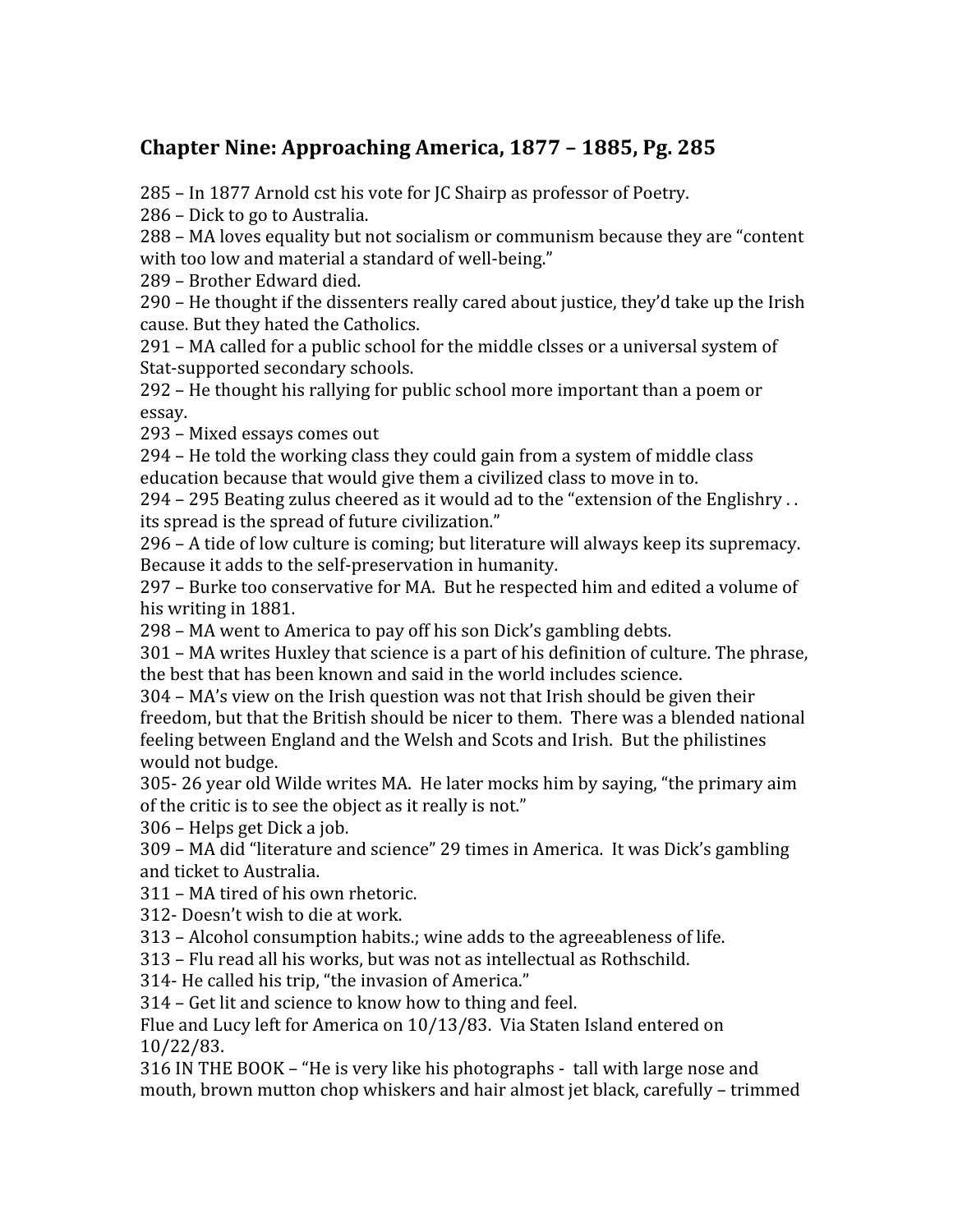# **Chapter
Nine:
Approaching
America,
1877
–
1885,
Pg.
285**

285
–
In
1877
Arnold
cst
his
vote
for
JC
Shairp
as
professor
of
Poetry.

286
–
Dick
to
go
to
Australia.

288
–
MA
loves
equality
but
not
socialism
or
communism
because
they
are
"content with too low and material a standard of well-being."

289
–
Brother
Edward
died.

290
–
He
thought
if
the
dissenters
really
cared
about
justice,
they'd
take
up
the
Irish cause.
But
they
hated
the
Catholics.

291
–
MA
called
for
a
public
school
for
the
middle
clsses
or
a
universal
system
of Stat-supported secondary schools.

292
–
He
thought
his
rallying
for
public
school
more
important
than
a
poem
or essay.

293
–
Mixed
essays
comes
out

294
–
He
told
the
working
class
they
could
gain
from
a
system
of
middle
class education because that would give them a civilized class to move in to.

294
–
295
Beating
zulus
cheered
as
it
would
ad
to
the
"extension
of
the
Englishry
.
. its
spread
is
the
spread
of
future
civilization."

296
–
A
tide
of
low
culture
is
coming;
but
literature
will
always
keep
its
supremacy. Because it adds to the self-preservation in humanity.

297
–
Burke
too
conservative
for
MA.

But
he
respected
him
and
edited
a
volume
of his
writing
in
1881.

298
–
MA
went
to
America
to
pay
off
his
son
Dick's
gambling
debts.

301
–
MA
writes
Huxley
that
science
is
a
part
of
his
definition
of
culture.
The
phrase, the
best
that
has
been
known
and
said
in
the
world
includes
science.

304
–
MA's
view
on
the
Irish
question
was
not
that
Irish
should
be
given
their freedom, but that the British should be nicer to them. There was a blended national feeling
between
England
and
the
Welsh
and
Scots
and
Irish.

But
the
philistines would
not
budge.

305‐
26
year
old
Wilde
writes
MA.

He
later
mocks
him
by
saying,
"the
primary
aim of the critic is to see the object as it really is not."

306
–
Helps
get
Dick
a
job.

309
–
MA
did
"literature
and
science"
29
times
in
America.

It
was
Dick's
gambling and
ticket
to
Australia.

311
–
MA
tired
of
his
own
rhetoric.

312‐
Doesn't
wish
to
die
at
work.

313
–
Alcohol
consumption
habits.;
wine
adds
to
the
agreeableness
of
life.

313
–
Flu
read
all
his
works,
but
was
not
as
intellectual
as
Rothschild.

314‐
He
called
his
trip,
"the
invasion
of
America."

314
–
Get
lit
and
science
to
know
how
to
thing
and
feel.

Flue and Lucy left for America on 10/13/83. Via Staten Island entered on 10/22/83.

316
IN
THE
BOOK
–
"He
is
very
like
his
photographs
‐

tall
with
large
nose
and mouth,
brown
mutton
chop
whiskers
and
hair
almost
jet
black,
carefully
–
trimmed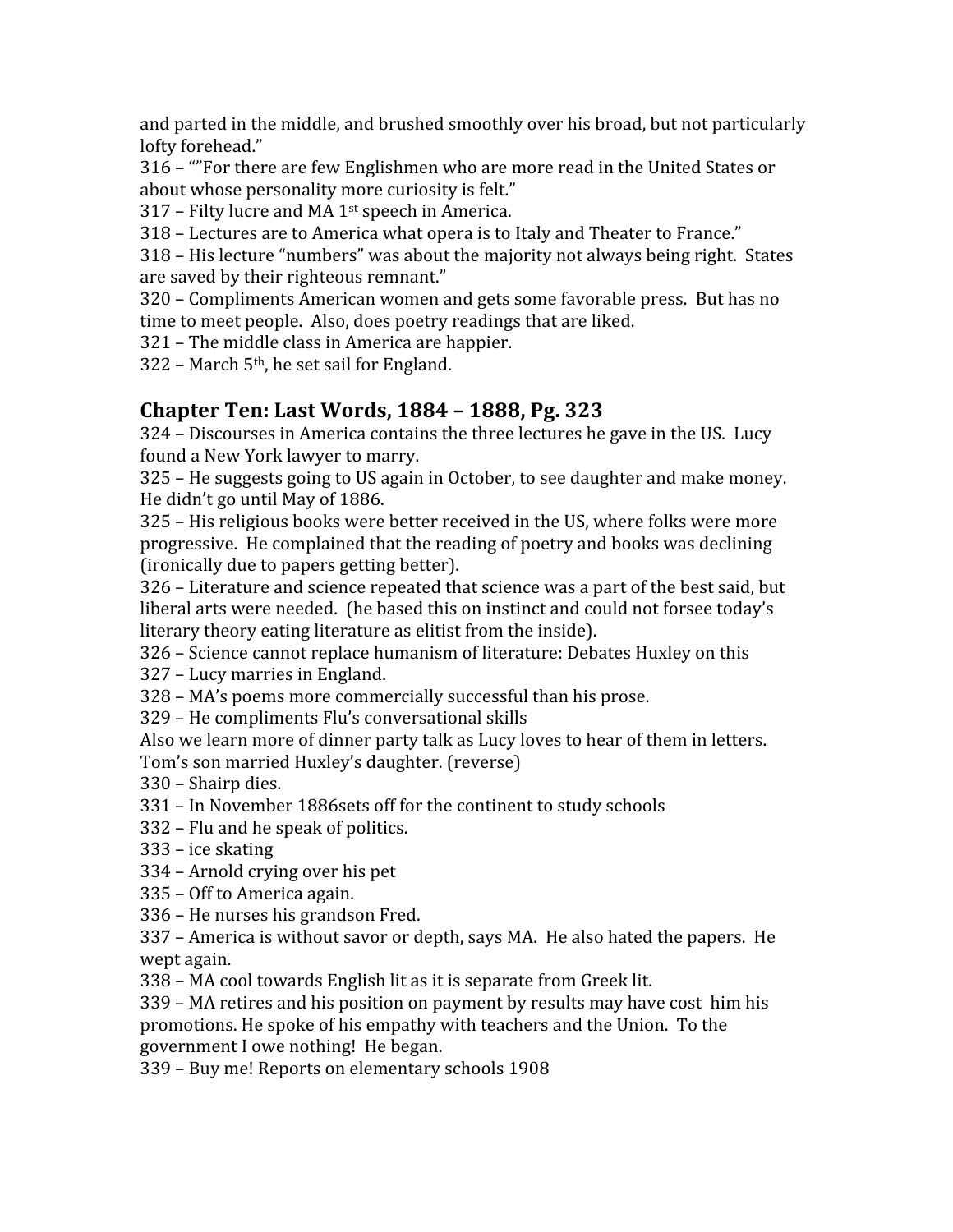and parted in the middle, and brushed smoothly over his broad, but not particularly lofty
forehead."

316
–
""For
there
are
few
Englishmen
who
are
more
read
in
the
United
States
or about whose personality more curiosity is felt."

317
–
Filty
lucre
and
MA
1st
speech
in
America.

318
–
Lectures
are
to
America
what
opera
is
to
Italy
and
Theater
to
France."

318
–
His
lecture
"numbers"
was
about
the
majority
not
always
being
right.

States are
saved
by
their
righteous
remnant."

320
–
Compliments
American
women
and
gets
some
favorable
press.

But
has
no time
to
meet
people.

Also,
does
poetry
readings
that
are
liked.

321
–
The
middle
class
in
America
are
happier.

322 – March 5<sup>th</sup>, he set sail for England.

# **Chapter
Ten:
Last
Words,
1884
–
1888,
Pg.
323**

324
–
Discourses
in
America
contains
the
three
lectures
he
gave
in
the
US.

Lucy found
a
New
York
lawyer
to
marry.

325
–
He
suggests
going
to
US
again
in
October,
to
see
daughter
and
make
money. He
didn't
go
until
May
of
1886.

325
–
His
religious
books
were
better
received
in
the
US,
where
folks
were
more progressive.

He
complained
that
the
reading
of
poetry
and
books
was
declining (ironically
due
to
papers
getting
better).

326
–
Literature
and
science
repeated
that
science
was
a
part
of
the
best
said,
but liberal arts were needed. (he based this on instinct and could not forsee today's literary theory eating literature as elitist from the inside).

326
–
Science
cannot
replace
humanism
of
literature:
Debates
Huxley
on
this

327
–
Lucy
marries
in
England.

328
–
MA's
poems
more
commercially
successful
than
his
prose.

329
–
He
compliments
Flu's
conversational
skills

Also
we
learn
more
of
dinner
party
talk
as
Lucy
loves
to
hear
of
them
in
letters. Tom's
son
married
Huxley's
daughter.
(reverse)

330
–
Shairp
dies.

- 331
–
In
November
1886sets
off
for
the
continent
to
study
schools
- 332
–
Flu
and
he
speak
of
politics.
- 333
–
ice
skating
- 334
–
Arnold
crying
over
his
pet
- 335
–
Off
to
America
again.

336
–
He
nurses
his
grandson
Fred.

337 - America is without savor or depth, says MA. He also hated the papers. He wept
again.

338
–
MA
cool
towards
English
lit
as
it
is
separate
from
Greek
lit.

339
–
MA
retires
and
his
position
on
payment
by
results
may
have
cost

him
his promotions.
He
spoke
of
his
empathy
with
teachers
and
the
Union.

To
the government
I
owe
nothing!

He
began.

339
–
Buy
me!
Reports
on
elementary
schools
1908